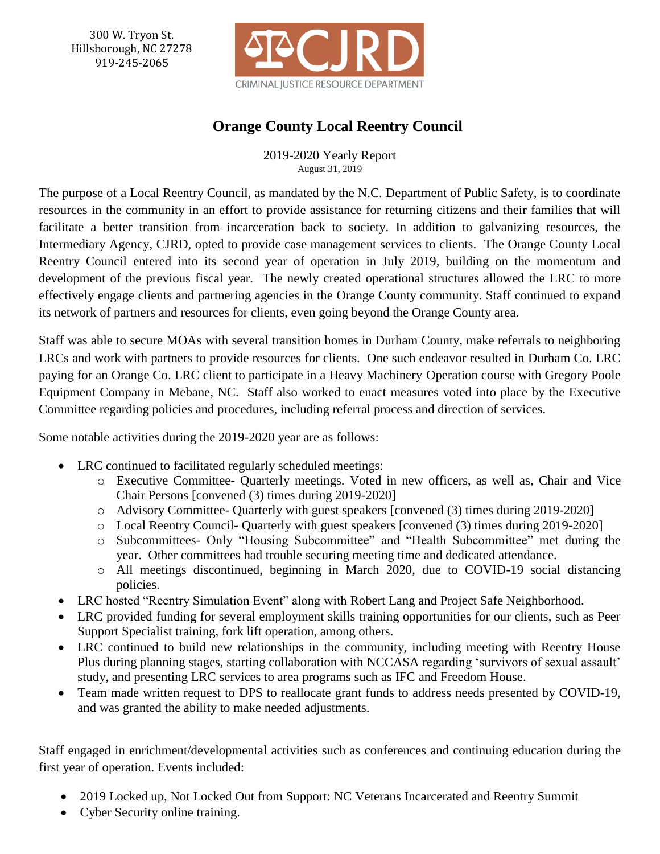300 W. Tryon St. Hillsborough, NC 27278 919-245-2065



# **Orange County Local Reentry Council**

2019-2020 Yearly Report August 31, 2019

The purpose of a Local Reentry Council, as mandated by the N.C. Department of Public Safety, is to coordinate resources in the community in an effort to provide assistance for returning citizens and their families that will facilitate a better transition from incarceration back to society. In addition to galvanizing resources, the Intermediary Agency, CJRD, opted to provide case management services to clients. The Orange County Local Reentry Council entered into its second year of operation in July 2019, building on the momentum and development of the previous fiscal year. The newly created operational structures allowed the LRC to more effectively engage clients and partnering agencies in the Orange County community. Staff continued to expand its network of partners and resources for clients, even going beyond the Orange County area.

Staff was able to secure MOAs with several transition homes in Durham County, make referrals to neighboring LRCs and work with partners to provide resources for clients. One such endeavor resulted in Durham Co. LRC paying for an Orange Co. LRC client to participate in a Heavy Machinery Operation course with Gregory Poole Equipment Company in Mebane, NC. Staff also worked to enact measures voted into place by the Executive Committee regarding policies and procedures, including referral process and direction of services.

Some notable activities during the 2019-2020 year are as follows:

- LRC continued to facilitated regularly scheduled meetings:
	- o Executive Committee- Quarterly meetings. Voted in new officers, as well as, Chair and Vice Chair Persons [convened (3) times during 2019-2020]
	- o Advisory Committee- Quarterly with guest speakers [convened (3) times during 2019-2020]
	- o Local Reentry Council- Quarterly with guest speakers [convened (3) times during 2019-2020]
	- o Subcommittees- Only "Housing Subcommittee" and "Health Subcommittee" met during the year. Other committees had trouble securing meeting time and dedicated attendance.
	- o All meetings discontinued, beginning in March 2020, due to COVID-19 social distancing policies.
- LRC hosted "Reentry Simulation Event" along with Robert Lang and Project Safe Neighborhood.
- LRC provided funding for several employment skills training opportunities for our clients, such as Peer Support Specialist training, fork lift operation, among others.
- LRC continued to build new relationships in the community, including meeting with Reentry House Plus during planning stages, starting collaboration with NCCASA regarding 'survivors of sexual assault' study, and presenting LRC services to area programs such as IFC and Freedom House.
- Team made written request to DPS to reallocate grant funds to address needs presented by COVID-19, and was granted the ability to make needed adjustments.

Staff engaged in enrichment/developmental activities such as conferences and continuing education during the first year of operation. Events included:

- 2019 Locked up, Not Locked Out from Support: NC Veterans Incarcerated and Reentry Summit
- Cyber Security online training.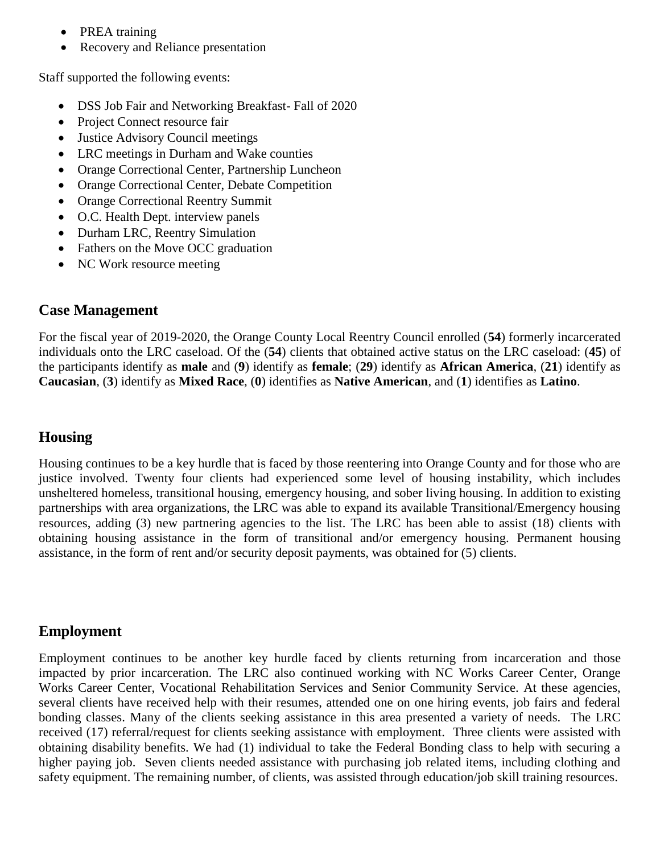- PREA training
- Recovery and Reliance presentation

Staff supported the following events:

- DSS Job Fair and Networking Breakfast- Fall of 2020
- Project Connect resource fair
- Justice Advisory Council meetings
- LRC meetings in Durham and Wake counties
- Orange Correctional Center, Partnership Luncheon
- Orange Correctional Center, Debate Competition
- Orange Correctional Reentry Summit
- O.C. Health Dept. interview panels
- Durham LRC, Reentry Simulation
- Fathers on the Move OCC graduation
- NC Work resource meeting

## **Case Management**

For the fiscal year of 2019-2020, the Orange County Local Reentry Council enrolled (**54**) formerly incarcerated individuals onto the LRC caseload. Of the (**54**) clients that obtained active status on the LRC caseload: (**45**) of the participants identify as **male** and (**9**) identify as **female**; (**29**) identify as **African America**, (**21**) identify as **Caucasian**, (**3**) identify as **Mixed Race**, (**0**) identifies as **Native American**, and (**1**) identifies as **Latino**.

## **Housing**

Housing continues to be a key hurdle that is faced by those reentering into Orange County and for those who are justice involved. Twenty four clients had experienced some level of housing instability, which includes unsheltered homeless, transitional housing, emergency housing, and sober living housing. In addition to existing partnerships with area organizations, the LRC was able to expand its available Transitional/Emergency housing resources, adding (3) new partnering agencies to the list. The LRC has been able to assist (18) clients with obtaining housing assistance in the form of transitional and/or emergency housing. Permanent housing assistance, in the form of rent and/or security deposit payments, was obtained for (5) clients.

#### **Employment**

Employment continues to be another key hurdle faced by clients returning from incarceration and those impacted by prior incarceration. The LRC also continued working with NC Works Career Center, Orange Works Career Center, Vocational Rehabilitation Services and Senior Community Service. At these agencies, several clients have received help with their resumes, attended one on one hiring events, job fairs and federal bonding classes. Many of the clients seeking assistance in this area presented a variety of needs. The LRC received (17) referral/request for clients seeking assistance with employment. Three clients were assisted with obtaining disability benefits. We had (1) individual to take the Federal Bonding class to help with securing a higher paying job. Seven clients needed assistance with purchasing job related items, including clothing and safety equipment. The remaining number, of clients, was assisted through education/job skill training resources.